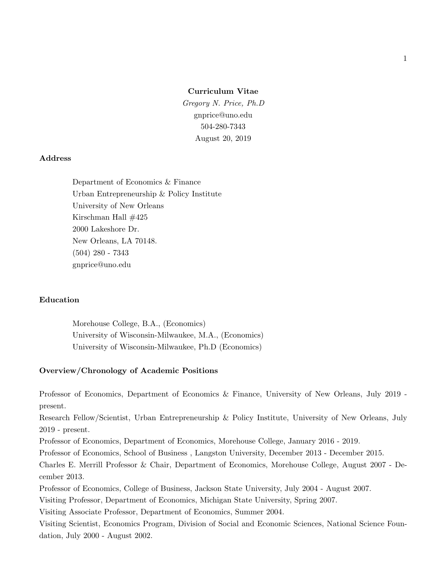**Curriculum Vitae** *Gregory N. Price, Ph.D* gnprice@uno.edu 504-280-7343 August 20, 2019

#### **Address**

Department of Economics & Finance Urban Entrepreneurship & Policy Institute University of New Orleans Kirschman Hall #425 2000 Lakeshore Dr. New Orleans, LA 70148. (504) 280 - 7343 gnprice@uno.edu

### **Education**

Morehouse College, B.A., (Economics) University of Wisconsin-Milwaukee, M.A., (Economics) University of Wisconsin-Milwaukee, Ph.D (Economics)

#### **Overview/Chronology of Academic Positions**

Professor of Economics, Department of Economics & Finance, University of New Orleans, July 2019 present.

Research Fellow/Scientist, Urban Entrepreneurship & Policy Institute, University of New Orleans, July 2019 - present.

Professor of Economics, Department of Economics, Morehouse College, January 2016 - 2019.

Professor of Economics, School of Business , Langston University, December 2013 - December 2015.

Charles E. Merrill Professor & Chair, Department of Economics, Morehouse College, August 2007 - December 2013.

Professor of Economics, College of Business, Jackson State University, July 2004 - August 2007.

Visiting Professor, Department of Economics, Michigan State University, Spring 2007.

Visiting Associate Professor, Department of Economics, Summer 2004.

Visiting Scientist, Economics Program, Division of Social and Economic Sciences, National Science Foundation, July 2000 - August 2002.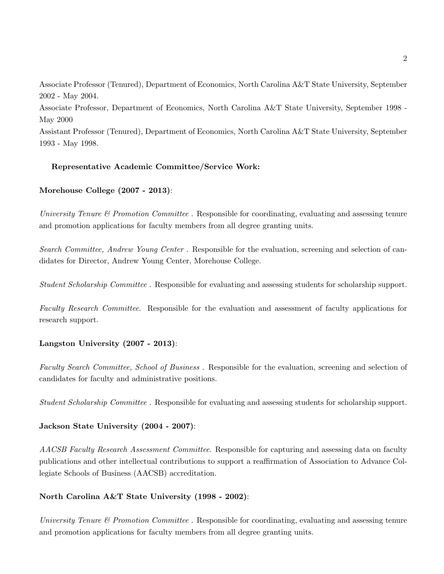Associate Professor (Tenured), Department of Economics, North Carolina A&T State University, September 2002 - May 2004.

Associate Professor, Department of Economics, North Carolina A&T State University, September 1998 - May 2000

Assistant Professor (Tenured), Department of Economics, North Carolina A&T State University, September 1993 - May 1998.

# **Representative Academic Committee/Service Work:**

# **Morehouse College (2007 - 2013)**:

*University Tenure & Promotion Committee*. Responsible for coordinating, evaluating and assessing tenure and promotion applications for faculty members from all degree granting units.

*Search Committee, Andrew Young Center* . Responsible for the evaluation, screening and selection of candidates for Director, Andrew Young Center, Morehouse College.

*Student Scholarship Committee* . Responsible for evaluating and assessing students for scholarship support.

*Faculty Research Committee*. Responsible for the evaluation and assessment of faculty applications for research support.

# **Langston University (2007 - 2013)**:

*Faculty Search Committee, School of Business* . Responsible for the evaluation, screening and selection of candidates for faculty and administrative positions.

*Student Scholarship Committee* . Responsible for evaluating and assessing students for scholarship support.

# **Jackson State University (2004 - 2007)**:

*AACSB Faculty Research Assessment Committee*. Responsible for capturing and assessing data on faculty publications and other intellectual contributions to support a reaffirmation of Association to Advance Collegiate Schools of Business (AACSB) accreditation.

# **North Carolina A&T State University (1998 - 2002)**:

*University Tenure & Promotion Committee*. Responsible for coordinating, evaluating and assessing tenure and promotion applications for faculty members from all degree granting units.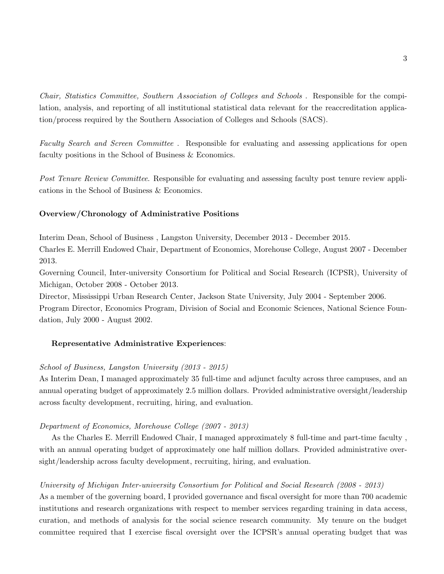*Chair, Statistics Committee, Southern Association of Colleges and Schools* . Responsible for the compilation, analysis, and reporting of all institutional statistical data relevant for the reaccreditation application/process required by the Southern Association of Colleges and Schools (SACS).

*Faculty Search and Screen Committee* . Responsible for evaluating and assessing applications for open faculty positions in the School of Business & Economics.

*Post Tenure Review Committee*. Responsible for evaluating and assessing faculty post tenure review applications in the School of Business & Economics.

### **Overview/Chronology of Administrative Positions**

Interim Dean, School of Business , Langston University, December 2013 - December 2015.

Charles E. Merrill Endowed Chair, Department of Economics, Morehouse College, August 2007 - December 2013.

Governing Council, Inter-university Consortium for Political and Social Research (ICPSR), University of Michigan, October 2008 - October 2013.

Director, Mississippi Urban Research Center, Jackson State University, July 2004 - September 2006.

Program Director, Economics Program, Division of Social and Economic Sciences, National Science Foundation, July 2000 - August 2002.

### **Representative Administrative Experiences**:

### *School of Business, Langston University (2013 - 2015)*

As Interim Dean, I managed approximately 35 full-time and adjunct faculty across three campuses, and an annual operating budget of approximately 2.5 million dollars. Provided administrative oversight/leadership across faculty development, recruiting, hiring, and evaluation.

### *Department of Economics, Morehouse College (2007 - 2013)*

As the Charles E. Merrill Endowed Chair, I managed approximately 8 full-time and part-time faculty , with an annual operating budget of approximately one half million dollars. Provided administrative oversight/leadership across faculty development, recruiting, hiring, and evaluation.

#### *University of Michigan Inter-university Consortium for Political and Social Research (2008 - 2013)*

As a member of the governing board, I provided governance and fiscal oversight for more than 700 academic institutions and research organizations with respect to member services regarding training in data access, curation, and methods of analysis for the social science research community. My tenure on the budget committee required that I exercise fiscal oversight over the ICPSR's annual operating budget that was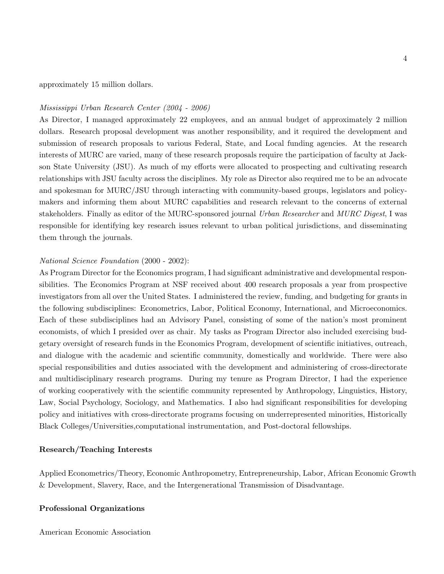approximately 15 million dollars.

### *Mississippi Urban Research Center (2004 - 2006)*

As Director, I managed approximately 22 employees, and an annual budget of approximately 2 million dollars. Research proposal development was another responsibility, and it required the development and submission of research proposals to various Federal, State, and Local funding agencies. At the research interests of MURC are varied, many of these research proposals require the participation of faculty at Jackson State University (JSU). As much of my efforts were allocated to prospecting and cultivating research relationships with JSU faculty across the disciplines. My role as Director also required me to be an advocate and spokesman for MURC/JSU through interacting with community-based groups, legislators and policymakers and informing them about MURC capabilities and research relevant to the concerns of external stakeholders. Finally as editor of the MURC-sponsored journal *Urban Researcher* and *MURC Digest*, I was responsible for identifying key research issues relevant to urban political jurisdictions, and disseminating them through the journals.

#### *National Science Foundation* (2000 - 2002):

As Program Director for the Economics program, I had significant administrative and developmental responsibilities. The Economics Program at NSF received about 400 research proposals a year from prospective investigators from all over the United States. I administered the review, funding, and budgeting for grants in the following subdisciplines: Econometrics, Labor, Political Economy, International, and Microeconomics. Each of these subdisciplines had an Advisory Panel, consisting of some of the nation's most prominent economists, of which I presided over as chair. My tasks as Program Director also included exercising budgetary oversight of research funds in the Economics Program, development of scientific initiatives, outreach, and dialogue with the academic and scientific community, domestically and worldwide. There were also special responsibilities and duties associated with the development and administering of cross-directorate and multidisciplinary research programs. During my tenure as Program Director, I had the experience of working cooperatively with the scientific community represented by Anthropology, Linguistics, History, Law, Social Psychology, Sociology, and Mathematics. I also had significant responsibilities for developing policy and initiatives with cross-directorate programs focusing on underrepresented minorities, Historically Black Colleges/Universities,computational instrumentation, and Post-doctoral fellowships.

### **Research/Teaching Interests**

Applied Econometrics/Theory, Economic Anthropometry, Entrepreneurship, Labor, African Economic Growth & Development, Slavery, Race, and the Intergenerational Transmission of Disadvantage.

#### **Professional Organizations**

American Economic Association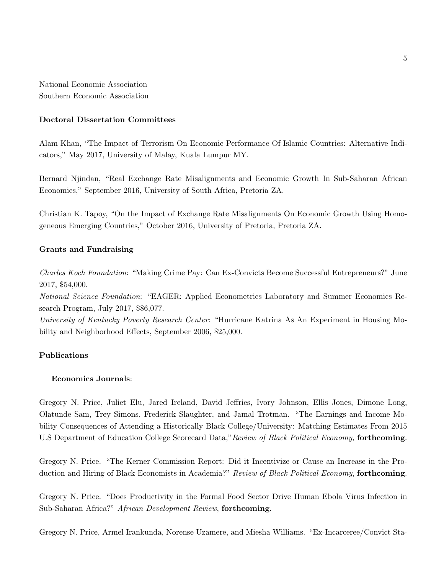National Economic Association Southern Economic Association

### **Doctoral Dissertation Committees**

Alam Khan, "The Impact of Terrorism On Economic Performance Of Islamic Countries: Alternative Indicators," May 2017, University of Malay, Kuala Lumpur MY.

Bernard Njindan, "Real Exchange Rate Misalignments and Economic Growth In Sub-Saharan African Economies," September 2016, University of South Africa, Pretoria ZA.

Christian K. Tapoy, "On the Impact of Exchange Rate Misalignments On Economic Growth Using Homogeneous Emerging Countries," October 2016, University of Pretoria, Pretoria ZA.

### **Grants and Fundraising**

*Charles Koch Foundation*: "Making Crime Pay: Can Ex-Convicts Become Successful Entrepreneurs?" June 2017, \$54,000.

*National Science Foundation*: "EAGER: Applied Econometrics Laboratory and Summer Economics Research Program, July 2017, \$86,077.

*University of Kentucky Poverty Research Center*: "Hurricane Katrina As An Experiment in Housing Mobility and Neighborhood Effects, September 2006, \$25,000.

# **Publications**

### **Economics Journals**:

Gregory N. Price, Juliet Elu, Jared Ireland, David Jeffries, Ivory Johnson, Ellis Jones, Dimone Long, Olatunde Sam, Trey Simons, Frederick Slaughter, and Jamal Trotman. "The Earnings and Income Mobility Consequences of Attending a Historically Black College/University: Matching Estimates From 2015 U.S Department of Education College Scorecard Data,"*Review of Black Political Economy*, **forthcoming**.

Gregory N. Price. "The Kerner Commission Report: Did it Incentivize or Cause an Increase in the Production and Hiring of Black Economists in Academia?" *Review of Black Political Economy*, **forthcoming**.

Gregory N. Price. "Does Productivity in the Formal Food Sector Drive Human Ebola Virus Infection in Sub-Saharan Africa?" *African Development Review*, **forthcoming**.

Gregory N. Price, Armel Irankunda, Norense Uzamere, and Miesha Williams. "Ex-Incarceree/Convict Sta-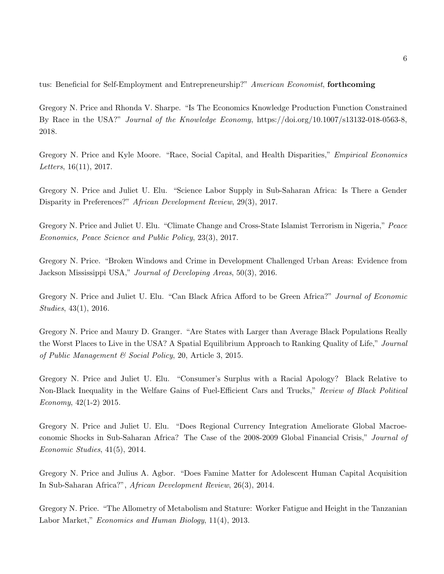tus: Beneficial for Self-Employment and Entrepreneurship?" *American Economist*, **forthcoming**

Gregory N. Price and Rhonda V. Sharpe. "Is The Economics Knowledge Production Function Constrained By Race in the USA?" *Journal of the Knowledge Economy*, https://doi.org/10.1007/s13132-018-0563-8, 2018.

Gregory N. Price and Kyle Moore. "Race, Social Capital, and Health Disparities," *Empirical Economics Letters*, 16(11), 2017.

Gregory N. Price and Juliet U. Elu. "Science Labor Supply in Sub-Saharan Africa: Is There a Gender Disparity in Preferences?" *African Development Review*, 29(3), 2017.

Gregory N. Price and Juliet U. Elu. "Climate Change and Cross-State Islamist Terrorism in Nigeria," *Peace Economics, Peace Science and Public Policy*, 23(3), 2017.

Gregory N. Price. "Broken Windows and Crime in Development Challenged Urban Areas: Evidence from Jackson Mississippi USA," *Journal of Developing Areas*, 50(3), 2016.

Gregory N. Price and Juliet U. Elu. "Can Black Africa Afford to be Green Africa?" *Journal of Economic Studies*, 43(1), 2016.

Gregory N. Price and Maury D. Granger. "Are States with Larger than Average Black Populations Really the Worst Places to Live in the USA? A Spatial Equilibrium Approach to Ranking Quality of Life," *Journal of Public Management & Social Policy*, 20, Article 3, 2015.

Gregory N. Price and Juliet U. Elu. "Consumer's Surplus with a Racial Apology? Black Relative to Non-Black Inequality in the Welfare Gains of Fuel-Efficient Cars and Trucks," *Review of Black Political Economy*, 42(1-2) 2015.

Gregory N. Price and Juliet U. Elu. "Does Regional Currency Integration Ameliorate Global Macroeconomic Shocks in Sub-Saharan Africa? The Case of the 2008-2009 Global Financial Crisis," *Journal of Economic Studies*, 41(5), 2014.

Gregory N. Price and Julius A. Agbor. "Does Famine Matter for Adolescent Human Capital Acquisition In Sub-Saharan Africa?", *African Development Review*, 26(3), 2014.

Gregory N. Price. "The Allometry of Metabolism and Stature: Worker Fatigue and Height in the Tanzanian Labor Market," *Economics and Human Biology*, 11(4), 2013.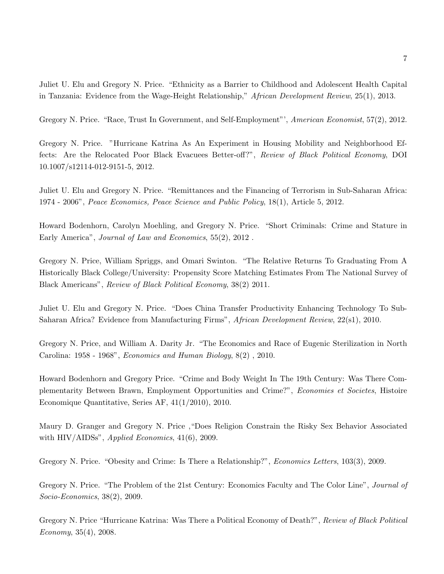Juliet U. Elu and Gregory N. Price. "Ethnicity as a Barrier to Childhood and Adolescent Health Capital in Tanzania: Evidence from the Wage-Height Relationship," *African Development Review*, 25(1), 2013.

Gregory N. Price. "Race, Trust In Government, and Self-Employment"', *American Economist*, 57(2), 2012.

Gregory N. Price. "Hurricane Katrina As An Experiment in Housing Mobility and Neighborhood Effects: Are the Relocated Poor Black Evacuees Better-off?", *Review of Black Political Economy*, DOI 10.1007/s12114-012-9151-5, 2012.

Juliet U. Elu and Gregory N. Price. "Remittances and the Financing of Terrorism in Sub-Saharan Africa: 1974 - 2006", *Peace Economics, Peace Science and Public Policy*, 18(1), Article 5, 2012.

Howard Bodenhorn, Carolyn Moehling, and Gregory N. Price. "Short Criminals: Crime and Stature in Early America", *Journal of Law and Economics*, 55(2), 2012 .

Gregory N. Price, William Spriggs, and Omari Swinton. "The Relative Returns To Graduating From A Historically Black College/University: Propensity Score Matching Estimates From The National Survey of Black Americans", *Review of Black Political Economy*, 38(2) 2011.

Juliet U. Elu and Gregory N. Price. "Does China Transfer Productivity Enhancing Technology To Sub-Saharan Africa? Evidence from Manufacturing Firms", *African Development Review*, 22(s1), 2010.

Gregory N. Price, and William A. Darity Jr. "The Economics and Race of Eugenic Sterilization in North Carolina: 1958 - 1968", *Economics and Human Biology*, 8(2) , 2010.

Howard Bodenhorn and Gregory Price. "Crime and Body Weight In The 19th Century: Was There Complementarity Between Brawn, Employment Opportunities and Crime?", *Economies et Societes*, Histoire Economique Quantitative, Series AF, 41(1/2010), 2010.

Maury D. Granger and Gregory N. Price ,"Does Religion Constrain the Risky Sex Behavior Associated with HIV/AIDSs", *Applied Economics*, 41(6), 2009.

Gregory N. Price. "Obesity and Crime: Is There a Relationship?", *Economics Letters*, 103(3), 2009.

Gregory N. Price. "The Problem of the 21st Century: Economics Faculty and The Color Line", *Journal of Socio-Economics*, 38(2), 2009.

Gregory N. Price "Hurricane Katrina: Was There a Political Economy of Death?", *Review of Black Political Economy*, 35(4), 2008.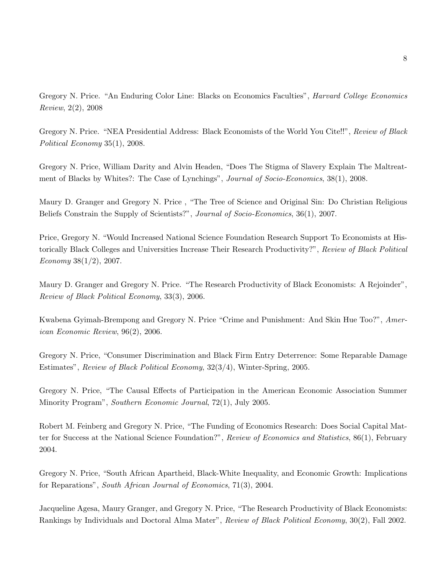Gregory N. Price. "An Enduring Color Line: Blacks on Economics Faculties", *Harvard College Economics Review*, 2(2), 2008

Gregory N. Price. "NEA Presidential Address: Black Economists of the World You Cite!!", *Review of Black Political Economy* 35(1), 2008.

Gregory N. Price, William Darity and Alvin Headen, "Does The Stigma of Slavery Explain The Maltreatment of Blacks by Whites?: The Case of Lynchings", *Journal of Socio-Economics*, 38(1), 2008.

Maury D. Granger and Gregory N. Price , "The Tree of Science and Original Sin: Do Christian Religious Beliefs Constrain the Supply of Scientists?", *Journal of Socio-Economics*, 36(1), 2007.

Price, Gregory N. "Would Increased National Science Foundation Research Support To Economists at Historically Black Colleges and Universities Increase Their Research Productivity?", *Review of Black Political Economy* 38(1/2), 2007.

Maury D. Granger and Gregory N. Price. "The Research Productivity of Black Economists: A Rejoinder", *Review of Black Political Economy*, 33(3), 2006.

Kwabena Gyimah-Brempong and Gregory N. Price "Crime and Punishment: And Skin Hue Too?", *American Economic Review*, 96(2), 2006.

Gregory N. Price, "Consumer Discrimination and Black Firm Entry Deterrence: Some Reparable Damage Estimates", *Review of Black Political Economy*, 32(3/4), Winter-Spring, 2005.

Gregory N. Price, "The Causal Effects of Participation in the American Economic Association Summer Minority Program", *Southern Economic Journal*, 72(1), July 2005.

Robert M. Feinberg and Gregory N. Price, "The Funding of Economics Research: Does Social Capital Matter for Success at the National Science Foundation?", *Review of Economics and Statistics*, 86(1), February 2004.

Gregory N. Price, "South African Apartheid, Black-White Inequality, and Economic Growth: Implications for Reparations", *South African Journal of Economics*, 71(3), 2004.

Jacqueline Agesa, Maury Granger, and Gregory N. Price, "The Research Productivity of Black Economists: Rankings by Individuals and Doctoral Alma Mater", *Review of Black Political Economy*, 30(2), Fall 2002.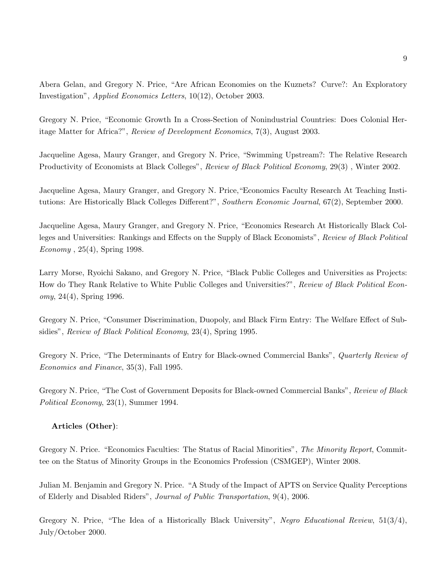Abera Gelan, and Gregory N. Price, "Are African Economies on the Kuznets? Curve?: An Exploratory Investigation", *Applied Economics Letters*, 10(12), October 2003.

Gregory N. Price, "Economic Growth In a Cross-Section of Nonindustrial Countries: Does Colonial Heritage Matter for Africa?", *Review of Development Economics*, 7(3), August 2003.

Jacqueline Agesa, Maury Granger, and Gregory N. Price, "Swimming Upstream?: The Relative Research Productivity of Economists at Black Colleges", *Review of Black Political Economy*, 29(3) , Winter 2002.

Jacqueline Agesa, Maury Granger, and Gregory N. Price,"Economics Faculty Research At Teaching Institutions: Are Historically Black Colleges Different?", *Southern Economic Journal*, 67(2), September 2000.

Jacqueline Agesa, Maury Granger, and Gregory N. Price, "Economics Research At Historically Black Colleges and Universities: Rankings and Effects on the Supply of Black Economists", *Review of Black Political Economy* , 25(4), Spring 1998.

Larry Morse, Ryoichi Sakano, and Gregory N. Price, "Black Public Colleges and Universities as Projects: How do They Rank Relative to White Public Colleges and Universities?", *Review of Black Political Economy*, 24(4), Spring 1996.

Gregory N. Price, "Consumer Discrimination, Duopoly, and Black Firm Entry: The Welfare Effect of Subsidies", *Review of Black Political Economy*, 23(4), Spring 1995.

Gregory N. Price, "The Determinants of Entry for Black-owned Commercial Banks", *Quarterly Review of Economics and Finance*, 35(3), Fall 1995.

Gregory N. Price, "The Cost of Government Deposits for Black-owned Commercial Banks", *Review of Black Political Economy*, 23(1), Summer 1994.

# **Articles (Other)**:

Gregory N. Price. "Economics Faculties: The Status of Racial Minorities", *The Minority Report*, Committee on the Status of Minority Groups in the Economics Profession (CSMGEP), Winter 2008.

Julian M. Benjamin and Gregory N. Price. "A Study of the Impact of APTS on Service Quality Perceptions of Elderly and Disabled Riders", *Journal of Public Transportation*, 9(4), 2006.

Gregory N. Price, "The Idea of a Historically Black University", *Negro Educational Review*, 51(3/4), July/October 2000.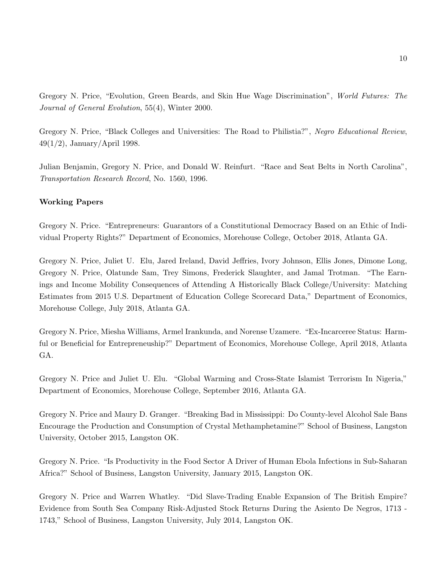Gregory N. Price, "Evolution, Green Beards, and Skin Hue Wage Discrimination", *World Futures: The Journal of General Evolution*, 55(4), Winter 2000.

Gregory N. Price, "Black Colleges and Universities: The Road to Philistia?", *Negro Educational Review*, 49(1/2), January/April 1998.

Julian Benjamin, Gregory N. Price, and Donald W. Reinfurt. "Race and Seat Belts in North Carolina", *Transportation Research Record*, No. 1560, 1996.

### **Working Papers**

Gregory N. Price. "Entrepreneurs: Guarantors of a Constitutional Democracy Based on an Ethic of Individual Property Rights?" Department of Economics, Morehouse College, October 2018, Atlanta GA.

Gregory N. Price, Juliet U. Elu, Jared Ireland, David Jeffries, Ivory Johnson, Ellis Jones, Dimone Long, Gregory N. Price, Olatunde Sam, Trey Simons, Frederick Slaughter, and Jamal Trotman. "The Earnings and Income Mobility Consequences of Attending A Historically Black College/University: Matching Estimates from 2015 U.S. Department of Education College Scorecard Data," Department of Economics, Morehouse College, July 2018, Atlanta GA.

Gregory N. Price, Miesha Williams, Armel Irankunda, and Norense Uzamere. "Ex-Incarceree Status: Harmful or Beneficial for Entrepreneuship?" Department of Economics, Morehouse College, April 2018, Atlanta GA.

Gregory N. Price and Juliet U. Elu. "Global Warming and Cross-State Islamist Terrorism In Nigeria," Department of Economics, Morehouse College, September 2016, Atlanta GA.

Gregory N. Price and Maury D. Granger. "Breaking Bad in Mississippi: Do County-level Alcohol Sale Bans Encourage the Production and Consumption of Crystal Methamphetamine?" School of Business, Langston University, October 2015, Langston OK.

Gregory N. Price. "Is Productivity in the Food Sector A Driver of Human Ebola Infections in Sub-Saharan Africa?" School of Business, Langston University, January 2015, Langston OK.

Gregory N. Price and Warren Whatley. "Did Slave-Trading Enable Expansion of The British Empire? Evidence from South Sea Company Risk-Adjusted Stock Returns During the Asiento De Negros, 1713 - 1743," School of Business, Langston University, July 2014, Langston OK.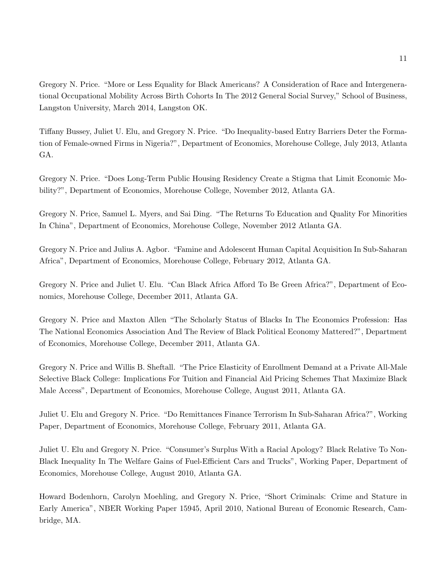Gregory N. Price. "More or Less Equality for Black Americans? A Consideration of Race and Intergenerational Occupational Mobility Across Birth Cohorts In The 2012 General Social Survey," School of Business, Langston University, March 2014, Langston OK.

Tiffany Bussey, Juliet U. Elu, and Gregory N. Price. "Do Inequality-based Entry Barriers Deter the Formation of Female-owned Firms in Nigeria?", Department of Economics, Morehouse College, July 2013, Atlanta GA.

Gregory N. Price. "Does Long-Term Public Housing Residency Create a Stigma that Limit Economic Mobility?", Department of Economics, Morehouse College, November 2012, Atlanta GA.

Gregory N. Price, Samuel L. Myers, and Sai Ding. "The Returns To Education and Quality For Minorities In China", Department of Economics, Morehouse College, November 2012 Atlanta GA.

Gregory N. Price and Julius A. Agbor. "Famine and Adolescent Human Capital Acquisition In Sub-Saharan Africa", Department of Economics, Morehouse College, February 2012, Atlanta GA.

Gregory N. Price and Juliet U. Elu. "Can Black Africa Afford To Be Green Africa?", Department of Economics, Morehouse College, December 2011, Atlanta GA.

Gregory N. Price and Maxton Allen "The Scholarly Status of Blacks In The Economics Profession: Has The National Economics Association And The Review of Black Political Economy Mattered?", Department of Economics, Morehouse College, December 2011, Atlanta GA.

Gregory N. Price and Willis B. Sheftall. "The Price Elasticity of Enrollment Demand at a Private All-Male Selective Black College: Implications For Tuition and Financial Aid Pricing Schemes That Maximize Black Male Access", Department of Economics, Morehouse College, August 2011, Atlanta GA.

Juliet U. Elu and Gregory N. Price. "Do Remittances Finance Terrorism In Sub-Saharan Africa?", Working Paper, Department of Economics, Morehouse College, February 2011, Atlanta GA.

Juliet U. Elu and Gregory N. Price. "Consumer's Surplus With a Racial Apology? Black Relative To Non-Black Inequality In The Welfare Gains of Fuel-Efficient Cars and Trucks", Working Paper, Department of Economics, Morehouse College, August 2010, Atlanta GA.

Howard Bodenhorn, Carolyn Moehling, and Gregory N. Price, "Short Criminals: Crime and Stature in Early America", NBER Working Paper 15945, April 2010, National Bureau of Economic Research, Cambridge, MA.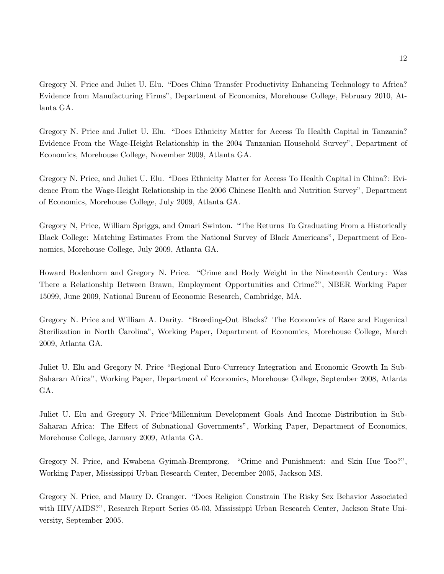Gregory N. Price and Juliet U. Elu. "Does China Transfer Productivity Enhancing Technology to Africa? Evidence from Manufacturing Firms", Department of Economics, Morehouse College, February 2010, Atlanta GA.

Gregory N. Price and Juliet U. Elu. "Does Ethnicity Matter for Access To Health Capital in Tanzania? Evidence From the Wage-Height Relationship in the 2004 Tanzanian Household Survey", Department of Economics, Morehouse College, November 2009, Atlanta GA.

Gregory N. Price, and Juliet U. Elu. "Does Ethnicity Matter for Access To Health Capital in China?: Evidence From the Wage-Height Relationship in the 2006 Chinese Health and Nutrition Survey", Department of Economics, Morehouse College, July 2009, Atlanta GA.

Gregory N, Price, William Spriggs, and Omari Swinton. "The Returns To Graduating From a Historically Black College: Matching Estimates From the National Survey of Black Americans", Department of Economics, Morehouse College, July 2009, Atlanta GA.

Howard Bodenhorn and Gregory N. Price. "Crime and Body Weight in the Nineteenth Century: Was There a Relationship Between Brawn, Employment Opportunities and Crime?", NBER Working Paper 15099, June 2009, National Bureau of Economic Research, Cambridge, MA.

Gregory N. Price and William A. Darity. "Breeding-Out Blacks? The Economics of Race and Eugenical Sterilization in North Carolina", Working Paper, Department of Economics, Morehouse College, March 2009, Atlanta GA.

Juliet U. Elu and Gregory N. Price "Regional Euro-Currency Integration and Economic Growth In Sub-Saharan Africa", Working Paper, Department of Economics, Morehouse College, September 2008, Atlanta GA.

Juliet U. Elu and Gregory N. Price"Millennium Development Goals And Income Distribution in Sub-Saharan Africa: The Effect of Subnational Governments", Working Paper, Department of Economics, Morehouse College, January 2009, Atlanta GA.

Gregory N. Price, and Kwabena Gyimah-Bremprong. "Crime and Punishment: and Skin Hue Too?", Working Paper, Mississippi Urban Research Center, December 2005, Jackson MS.

Gregory N. Price, and Maury D. Granger. "Does Religion Constrain The Risky Sex Behavior Associated with HIV/AIDS?", Research Report Series 05-03, Mississippi Urban Research Center, Jackson State University, September 2005.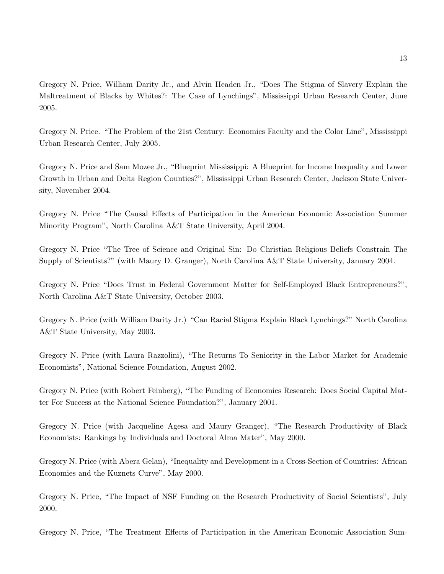Gregory N. Price, William Darity Jr., and Alvin Headen Jr., "Does The Stigma of Slavery Explain the Maltreatment of Blacks by Whites?: The Case of Lynchings", Mississippi Urban Research Center, June 2005.

Gregory N. Price. "The Problem of the 21st Century: Economics Faculty and the Color Line", Mississippi Urban Research Center, July 2005.

Gregory N. Price and Sam Mozee Jr., "Blueprint Mississippi: A Blueprint for Income Inequality and Lower Growth in Urban and Delta Region Counties?", Mississippi Urban Research Center, Jackson State University, November 2004.

Gregory N. Price "The Causal Effects of Participation in the American Economic Association Summer Minority Program", North Carolina A&T State University, April 2004.

Gregory N. Price "The Tree of Science and Original Sin: Do Christian Religious Beliefs Constrain The Supply of Scientists?" (with Maury D. Granger), North Carolina A&T State University, January 2004.

Gregory N. Price "Does Trust in Federal Government Matter for Self-Employed Black Entrepreneurs?", North Carolina A&T State University, October 2003.

Gregory N. Price (with William Darity Jr.) "Can Racial Stigma Explain Black Lynchings?" North Carolina A&T State University, May 2003.

Gregory N. Price (with Laura Razzolini), "The Returns To Seniority in the Labor Market for Academic Economists", National Science Foundation, August 2002.

Gregory N. Price (with Robert Feinberg), "The Funding of Economics Research: Does Social Capital Matter For Success at the National Science Foundation?", January 2001.

Gregory N. Price (with Jacqueline Agesa and Maury Granger), "The Research Productivity of Black Economists: Rankings by Individuals and Doctoral Alma Mater", May 2000.

Gregory N. Price (with Abera Gelan), "Inequality and Development in a Cross-Section of Countries: African Economies and the Kuznets Curve", May 2000.

Gregory N. Price, "The Impact of NSF Funding on the Research Productivity of Social Scientists", July 2000.

Gregory N. Price, "The Treatment Effects of Participation in the American Economic Association Sum-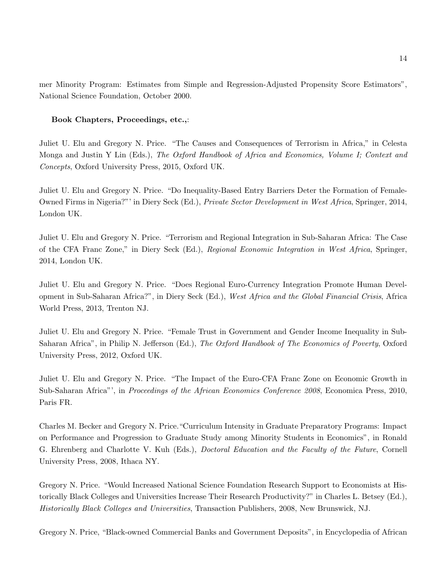mer Minority Program: Estimates from Simple and Regression-Adjusted Propensity Score Estimators", National Science Foundation, October 2000.

### **Book Chapters, Proceedings, etc.,**:

Juliet U. Elu and Gregory N. Price. "The Causes and Consequences of Terrorism in Africa," in Celesta Monga and Justin Y Lin (Eds.), *The Oxford Handbook of Africa and Economics, Volume I; Context and Concepts*, Oxford University Press, 2015, Oxford UK.

Juliet U. Elu and Gregory N. Price. "Do Inequality-Based Entry Barriers Deter the Formation of Female-Owned Firms in Nigeria?"' in Diery Seck (Ed.), *Private Sector Development in West Africa*, Springer, 2014, London UK.

Juliet U. Elu and Gregory N. Price. "Terrorism and Regional Integration in Sub-Saharan Africa: The Case of the CFA Franc Zone," in Diery Seck (Ed.), *Regional Economic Integration in West Africa*, Springer, 2014, London UK.

Juliet U. Elu and Gregory N. Price. "Does Regional Euro-Currency Integration Promote Human Development in Sub-Saharan Africa?", in Diery Seck (Ed.), *West Africa and the Global Financial Crisis*, Africa World Press, 2013, Trenton NJ.

Juliet U. Elu and Gregory N. Price. "Female Trust in Government and Gender Income Inequality in Sub-Saharan Africa", in Philip N. Jefferson (Ed.), *The Oxford Handbook of The Economics of Poverty*, Oxford University Press, 2012, Oxford UK.

Juliet U. Elu and Gregory N. Price. "The Impact of the Euro-CFA Franc Zone on Economic Growth in Sub-Saharan Africa"', in *Proceedings of the African Economics Conference 2008*, Economica Press, 2010, Paris FR.

Charles M. Becker and Gregory N. Price."Curriculum Intensity in Graduate Preparatory Programs: Impact on Performance and Progression to Graduate Study among Minority Students in Economics", in Ronald G. Ehrenberg and Charlotte V. Kuh (Eds.), *Doctoral Education and the Faculty of the Future*, Cornell University Press, 2008, Ithaca NY.

Gregory N. Price. "Would Increased National Science Foundation Research Support to Economists at Historically Black Colleges and Universities Increase Their Research Productivity?" in Charles L. Betsey (Ed.), *Historically Black Colleges and Universities*, Transaction Publishers, 2008, New Brunswick, NJ.

Gregory N. Price, "Black-owned Commercial Banks and Government Deposits", in Encyclopedia of African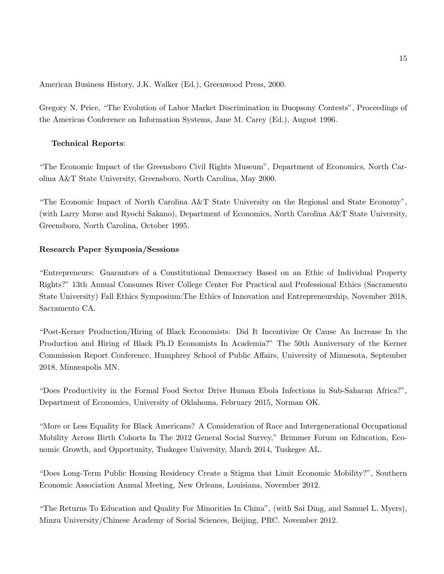American Business History, J.K. Walker (Ed.), Greenwood Press, 2000.

Gregory N. Price, "The Evolution of Labor Market Discrimination in Duopsony Contests", Proceedings of the Americas Conference on Information Systems, Jane M. Carey (Ed.), August 1996.

## **Technical Reports**:

"The Economic Impact of the Greensboro Civil Rights Museum", Department of Economics, North Carolina A&T State University, Greensboro, North Carolina, May 2000.

"The Economic Impact of North Carolina A&T State University on the Regional and State Economy", (with Larry Morse and Ryochi Sakano), Department of Economics, North Carolina A&T State University, Greensboro, North Carolina, October 1995.

### **Research Paper Symposia/Sessions**

"Entrepreneurs: Guarantors of a Constitutional Democracy Based on an Ethic of Individual Property Rights?" 13th Annual Consumes River College Center For Practical and Professional Ethics (Sacramento State University) Fall Ethics Symposium:The Ethics of Innovation and Entrepreneurship, November 2018, Sacramento CA.

"Post-Kerner Production/Hiring of Black Economists: Did It Incentivize Or Cause An Increase In the Production and Hiring of Black Ph.D Economists In Academia?" The 50th Anniversary of the Kerner Commission Report Conference, Humphrey School of Public Affairs, University of Minnesota, September 2018, Minneapolis MN.

"Does Productivity in the Formal Food Sector Drive Human Ebola Infections in Sub-Saharan Africa?", Department of Economics, University of Oklahoma, February 2015, Norman OK.

"More or Less Equality for Black Americans? A Consideration of Race and Intergenerational Occupational Mobility Across Birth Cohorts In The 2012 General Social Survey," Brimmer Forum on Education, Economic Growth, and Opportunity, Tuskegee University, March 2014, Tuskegee AL.

"Does Long-Term Public Housing Residency Create a Stigma that Limit Economic Mobility?", Southern Economic Association Annual Meeting, New Orleans, Louisiana, November 2012.

"The Returns To Education and Quality For Minorities In China", (with Sai Ding, and Samuel L. Myers), Minzu University/Chinese Academy of Social Sciences, Beijing, PRC. November 2012.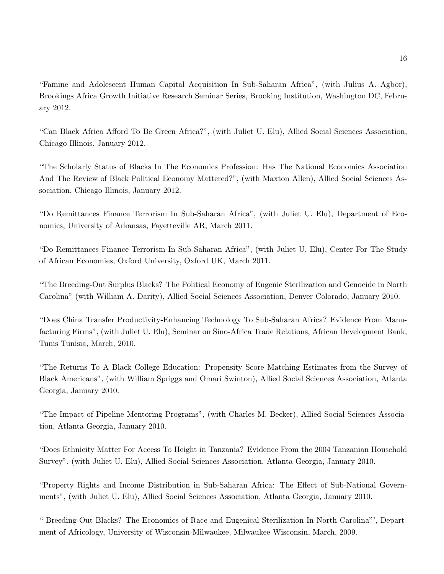"Famine and Adolescent Human Capital Acquisition In Sub-Saharan Africa", (with Julius A. Agbor), Brookings Africa Growth Initiative Research Seminar Series, Brooking Institution, Washington DC, February 2012.

"Can Black Africa Afford To Be Green Africa?", (with Juliet U. Elu), Allied Social Sciences Association, Chicago Illinois, January 2012.

"The Scholarly Status of Blacks In The Economics Profession: Has The National Economics Association And The Review of Black Political Economy Mattered?", (with Maxton Allen), Allied Social Sciences Association, Chicago Illinois, January 2012.

"Do Remittances Finance Terrorism In Sub-Saharan Africa", (with Juliet U. Elu), Department of Economics, University of Arkansas, Fayetteville AR, March 2011.

"Do Remittances Finance Terrorism In Sub-Saharan Africa", (with Juliet U. Elu), Center For The Study of African Economies, Oxford University, Oxford UK, March 2011.

"The Breeding-Out Surplus Blacks? The Political Economy of Eugenic Sterilization and Genocide in North Carolina" (with William A. Darity), Allied Social Sciences Association, Denver Colorado, January 2010.

"Does China Transfer Productivity-Enhancing Technology To Sub-Saharan Africa? Evidence From Manufacturing Firms", (with Juliet U. Elu), Seminar on Sino-Africa Trade Relations, African Development Bank, Tunis Tunisia, March, 2010.

"The Returns To A Black College Education: Propensity Score Matching Estimates from the Survey of Black Americans", (with William Spriggs and Omari Swinton), Allied Social Sciences Association, Atlanta Georgia, January 2010.

"The Impact of Pipeline Mentoring Programs", (with Charles M. Becker), Allied Social Sciences Association, Atlanta Georgia, January 2010.

"Does Ethnicity Matter For Access To Height in Tanzania? Evidence From the 2004 Tanzanian Household Survey", (with Juliet U. Elu), Allied Social Sciences Association, Atlanta Georgia, January 2010.

"Property Rights and Income Distribution in Sub-Saharan Africa: The Effect of Sub-National Governments", (with Juliet U. Elu), Allied Social Sciences Association, Atlanta Georgia, January 2010.

" Breeding-Out Blacks? The Economics of Race and Eugenical Sterilization In North Carolina"', Department of Africology, University of Wisconsin-Milwaukee, Milwaukee Wisconsin, March, 2009.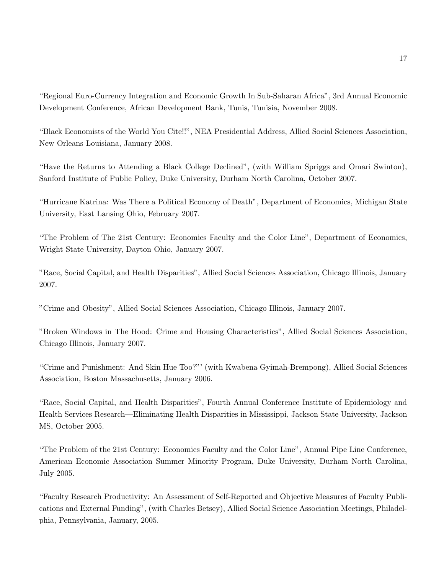"Regional Euro-Currency Integration and Economic Growth In Sub-Saharan Africa", 3rd Annual Economic Development Conference, African Development Bank, Tunis, Tunisia, November 2008.

"Black Economists of the World You Cite!!", NEA Presidential Address, Allied Social Sciences Association, New Orleans Louisiana, January 2008.

"Have the Returns to Attending a Black College Declined", (with William Spriggs and Omari Swinton), Sanford Institute of Public Policy, Duke University, Durham North Carolina, October 2007.

"Hurricane Katrina: Was There a Political Economy of Death", Department of Economics, Michigan State University, East Lansing Ohio, February 2007.

"The Problem of The 21st Century: Economics Faculty and the Color Line", Department of Economics, Wright State University, Dayton Ohio, January 2007.

"Race, Social Capital, and Health Disparities", Allied Social Sciences Association, Chicago Illinois, January 2007.

"Crime and Obesity", Allied Social Sciences Association, Chicago Illinois, January 2007.

"Broken Windows in The Hood: Crime and Housing Characteristics", Allied Social Sciences Association, Chicago Illinois, January 2007.

"Crime and Punishment: And Skin Hue Too?"' (with Kwabena Gyimah-Brempong), Allied Social Sciences Association, Boston Massachusetts, January 2006.

"Race, Social Capital, and Health Disparities", Fourth Annual Conference Institute of Epidemiology and Health Services Research—Eliminating Health Disparities in Mississippi, Jackson State University, Jackson MS, October 2005.

"The Problem of the 21st Century: Economics Faculty and the Color Line", Annual Pipe Line Conference, American Economic Association Summer Minority Program, Duke University, Durham North Carolina, July 2005.

"Faculty Research Productivity: An Assessment of Self-Reported and Objective Measures of Faculty Publications and External Funding", (with Charles Betsey), Allied Social Science Association Meetings, Philadelphia, Pennsylvania, January, 2005.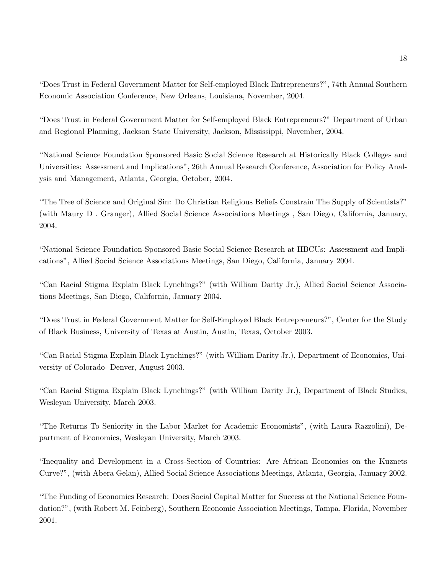"Does Trust in Federal Government Matter for Self-employed Black Entrepreneurs?", 74th Annual Southern Economic Association Conference, New Orleans, Louisiana, November, 2004.

"Does Trust in Federal Government Matter for Self-employed Black Entrepreneurs?" Department of Urban and Regional Planning, Jackson State University, Jackson, Mississippi, November, 2004.

"National Science Foundation Sponsored Basic Social Science Research at Historically Black Colleges and Universities: Assessment and Implications", 26th Annual Research Conference, Association for Policy Analysis and Management, Atlanta, Georgia, October, 2004.

"The Tree of Science and Original Sin: Do Christian Religious Beliefs Constrain The Supply of Scientists?" (with Maury D . Granger), Allied Social Science Associations Meetings , San Diego, California, January, 2004.

"National Science Foundation-Sponsored Basic Social Science Research at HBCUs: Assessment and Implications", Allied Social Science Associations Meetings, San Diego, California, January 2004.

"Can Racial Stigma Explain Black Lynchings?" (with William Darity Jr.), Allied Social Science Associations Meetings, San Diego, California, January 2004.

"Does Trust in Federal Government Matter for Self-Employed Black Entrepreneurs?", Center for the Study of Black Business, University of Texas at Austin, Austin, Texas, October 2003.

"Can Racial Stigma Explain Black Lynchings?" (with William Darity Jr.), Department of Economics, University of Colorado- Denver, August 2003.

"Can Racial Stigma Explain Black Lynchings?" (with William Darity Jr.), Department of Black Studies, Wesleyan University, March 2003.

"The Returns To Seniority in the Labor Market for Academic Economists", (with Laura Razzolini), Department of Economics, Wesleyan University, March 2003.

"Inequality and Development in a Cross-Section of Countries: Are African Economies on the Kuznets Curve?", (with Abera Gelan), Allied Social Science Associations Meetings, Atlanta, Georgia, January 2002.

"The Funding of Economics Research: Does Social Capital Matter for Success at the National Science Foundation?", (with Robert M. Feinberg), Southern Economic Association Meetings, Tampa, Florida, November 2001.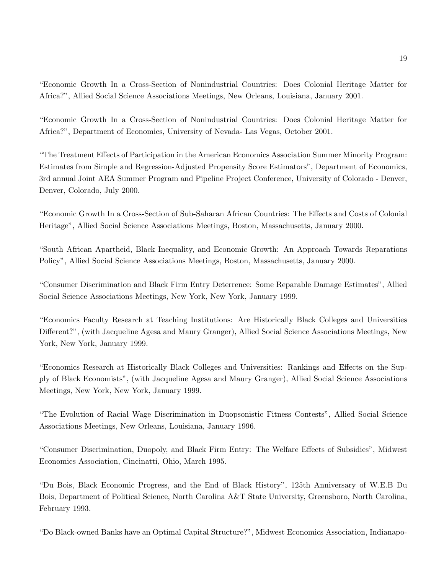"Economic Growth In a Cross-Section of Nonindustrial Countries: Does Colonial Heritage Matter for Africa?", Allied Social Science Associations Meetings, New Orleans, Louisiana, January 2001.

"Economic Growth In a Cross-Section of Nonindustrial Countries: Does Colonial Heritage Matter for Africa?", Department of Economics, University of Nevada- Las Vegas, October 2001.

"The Treatment Effects of Participation in the American Economics Association Summer Minority Program: Estimates from Simple and Regression-Adjusted Propensity Score Estimators", Department of Economics, 3rd annual Joint AEA Summer Program and Pipeline Project Conference, University of Colorado - Denver, Denver, Colorado, July 2000.

"Economic Growth In a Cross-Section of Sub-Saharan African Countries: The Effects and Costs of Colonial Heritage", Allied Social Science Associations Meetings, Boston, Massachusetts, January 2000.

"South African Apartheid, Black Inequality, and Economic Growth: An Approach Towards Reparations Policy", Allied Social Science Associations Meetings, Boston, Massachusetts, January 2000.

"Consumer Discrimination and Black Firm Entry Deterrence: Some Reparable Damage Estimates", Allied Social Science Associations Meetings, New York, New York, January 1999.

"Economics Faculty Research at Teaching Institutions: Are Historically Black Colleges and Universities Different?", (with Jacqueline Agesa and Maury Granger), Allied Social Science Associations Meetings, New York, New York, January 1999.

"Economics Research at Historically Black Colleges and Universities: Rankings and Effects on the Supply of Black Economists", (with Jacqueline Agesa and Maury Granger), Allied Social Science Associations Meetings, New York, New York, January 1999.

"The Evolution of Racial Wage Discrimination in Duopsonistic Fitness Contests", Allied Social Science Associations Meetings, New Orleans, Louisiana, January 1996.

"Consumer Discrimination, Duopoly, and Black Firm Entry: The Welfare Effects of Subsidies", Midwest Economics Association, Cincinatti, Ohio, March 1995.

"Du Bois, Black Economic Progress, and the End of Black History", 125th Anniversary of W.E.B Du Bois, Department of Political Science, North Carolina A&T State University, Greensboro, North Carolina, February 1993.

"Do Black-owned Banks have an Optimal Capital Structure?", Midwest Economics Association, Indianapo-